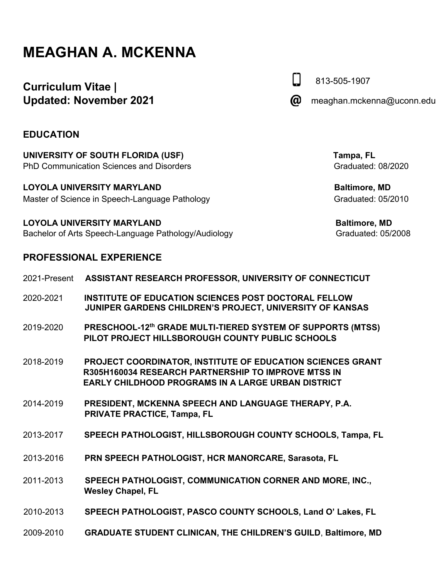# **MEAGHAN A. MCKENNA**

## **Curriculum Vitae | Updated: November 2021**

**EDUCATION** 

**UNIVERSITY OF SOUTH FLORIDA (USF)** Tampa, FL PhD Communication Sciences and Disorders Graduated: 08/2020

LOYOLA UNIVERSITY MARYLAND **Baltimore**, MD Master of Science in Speech-Language Pathology **Graduated: 05/2010** Graduated: 05/2010

LOYOLA UNIVERSITY MARYLAND **Baltimore, MD** Bachelor of Arts Speech-Language Pathology/Audiology Graduated: 05/2008

## **PROFESSIONAL EXPERIENCE**

| 2021-Present | ASSISTANT RESEARCH PROFESSOR, UNIVERSITY OF CONNECTICUT                                                                                                                        |
|--------------|--------------------------------------------------------------------------------------------------------------------------------------------------------------------------------|
| 2020-2021    | <b>INSTITUTE OF EDUCATION SCIENCES POST DOCTORAL FELLOW</b><br>JUNIPER GARDENS CHILDREN'S PROJECT, UNIVERSITY OF KANSAS                                                        |
| 2019-2020    | PRESCHOOL-12th GRADE MULTI-TIERED SYSTEM OF SUPPORTS (MTSS)<br>PILOT PROJECT HILLSBOROUGH COUNTY PUBLIC SCHOOLS                                                                |
| 2018-2019    | PROJECT COORDINATOR, INSTITUTE OF EDUCATION SCIENCES GRANT<br>R305H160034 RESEARCH PARTNERSHIP TO IMPROVE MTSS IN<br><b>EARLY CHILDHOOD PROGRAMS IN A LARGE URBAN DISTRICT</b> |
| 2014-2019    | PRESIDENT, MCKENNA SPEECH AND LANGUAGE THERAPY, P.A.<br><b>PRIVATE PRACTICE, Tampa, FL</b>                                                                                     |
| 2013-2017    | SPEECH PATHOLOGIST, HILLSBOROUGH COUNTY SCHOOLS, Tampa, FL                                                                                                                     |
| 2013-2016    | PRN SPEECH PATHOLOGIST, HCR MANORCARE, Sarasota, FL                                                                                                                            |
| 2011-2013    | SPEECH PATHOLOGIST, COMMUNICATION CORNER AND MORE, INC.,<br><b>Wesley Chapel, FL</b>                                                                                           |
| 2010-2013    | SPEECH PATHOLOGIST, PASCO COUNTY SCHOOLS, Land O' Lakes, FL                                                                                                                    |
| 2009-2010    | <b>GRADUATE STUDENT CLINICAN, THE CHILDREN'S GUILD, Baltimore, MD</b>                                                                                                          |

@ meaghan.mckenna@uconn.edu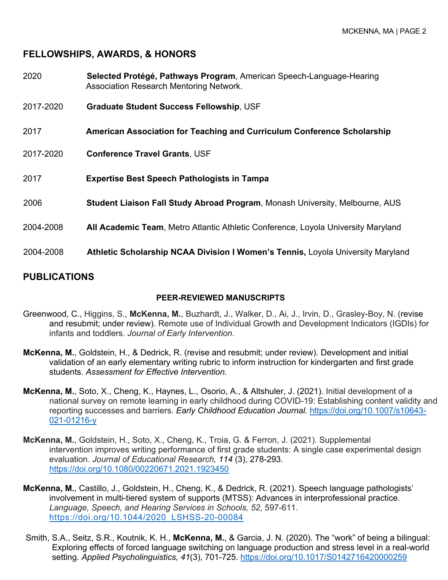## **FELLOWSHIPS, AWARDS, & HONORS**

| 2020      | Selected Protégé, Pathways Program, American Speech-Language-Hearing<br><b>Association Research Mentoring Network.</b> |
|-----------|------------------------------------------------------------------------------------------------------------------------|
| 2017-2020 | <b>Graduate Student Success Fellowship, USF</b>                                                                        |
| 2017      | American Association for Teaching and Curriculum Conference Scholarship                                                |
| 2017-2020 | <b>Conference Travel Grants, USF</b>                                                                                   |
| 2017      | <b>Expertise Best Speech Pathologists in Tampa</b>                                                                     |
| 2006      | Student Liaison Fall Study Abroad Program, Monash University, Melbourne, AUS                                           |
| 2004-2008 | All Academic Team, Metro Atlantic Athletic Conference, Loyola University Maryland                                      |
| 2004-2008 | Athletic Scholarship NCAA Division I Women's Tennis, Loyola University Maryland                                        |

## **PUBLICATIONS**

#### **PEER-REVIEWED MANUSCRIPTS**

- Greenwood, C., Higgins, S., **McKenna, M.**, Buzhardt, J., Walker, D., Ai, J., Irvin, D., Grasley-Boy, N. (revise and resubmit; under review). Remote use of Individual Growth and Development Indicators (IGDIs) for infants and toddlers. *Journal of Early Intervention*.
- **McKenna, M.**, Goldstein, H., & Dedrick, R. (revise and resubmit; under review). Development and initial validation of an early elementary writing rubric to inform instruction for kindergarten and first grade students. *Assessment for Effective Intervention.*
- **McKenna, M.**, Soto, X., Cheng, K., Haynes, L., Osorio, A., & Altshuler, J. (2021). Initial development of a national survey on remote learning in early childhood during COVID-19: Establishing content validity and reporting successes and barriers. *Early Childhood Education Journal.* https://doi.org/10.1007/s10643- 021-01216-y
- **McKenna, M.**, Goldstein, H., Soto, X., Cheng, K., Troia, G. & Ferron, J. (2021). Supplemental intervention improves writing performance of first grade students: A single case experimental design evaluation. *Journal of Educational Research, 114* (3), 278-293. https://doi.org/10.1080/00220671.2021.1923450
- **McKenna, M.**, Castillo, J., Goldstein, H., Cheng, K., & Dedrick, R. (2021). Speech language pathologists' involvement in multi-tiered system of supports (MTSS): Advances in interprofessional practice. *Language, Speech, and Hearing Services in Schools, 52,* 597-611. https://doi.org/10.1044/2020\_LSHSS-20-00084
- Smith, S.A., Seitz, S.R., Koutnik, K. H., **McKenna, M.**, & Garcia, J. N. (2020). The "work" of being a bilingual: Exploring effects of forced language switching on language production and stress level in a real-world setting. *Applied Psycholinguistics, 41*(3), 701-725. https://doi.org/10.1017/S0142716420000259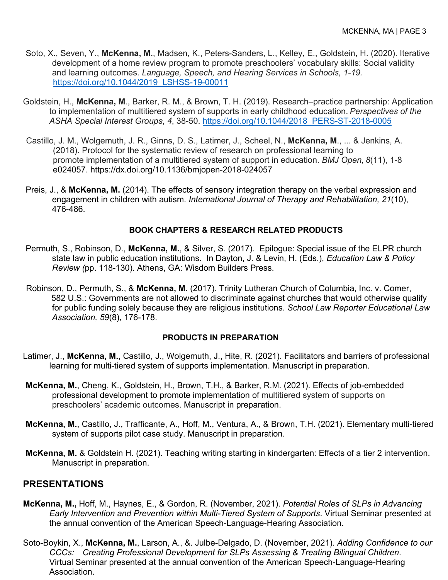- Soto, X., Seven, Y., **McKenna, M.**, Madsen, K., Peters-Sanders, L., Kelley, E., Goldstein, H. (2020). Iterative development of a home review program to promote preschoolers' vocabulary skills: Social validity and learning outcomes. *Language, Speech, and Hearing Services in Schools, 1-19.*  https://doi.org/10.1044/2019\_LSHSS-19-00011
- Goldstein, H., **McKenna, M**., Barker, R. M., & Brown, T. H. (2019). Research–practice partnership: Application to implementation of multitiered system of supports in early childhood education. *Perspectives of the ASHA Special Interest Groups*, *4*, 38-50. https://doi.org/10.1044/2018\_PERS-ST-2018-0005
- Castillo, J. M., Wolgemuth, J. R., Ginns, D. S., Latimer, J., Scheel, N., **McKenna, M**., ... & Jenkins, A. (2018). Protocol for the systematic review of research on professional learning to promote implementation of a multitiered system of support in education. *BMJ Open*, *8*(11), 1-8 e024057. https://dx.doi.org/10.1136/bmjopen-2018-024057
- Preis, J., & **McKenna, M.** (2014). The effects of sensory integration therapy on the verbal expression and engagement in children with autism. *International Journal of Therapy and Rehabilitation, 21*(10), 476-486.

#### **BOOK CHAPTERS & RESEARCH RELATED PRODUCTS**

- Permuth, S., Robinson, D., **McKenna, M.**, & Silver, S. (2017). Epilogue: Special issue of the ELPR church state law in public education institutions. In Dayton, J. & Levin, H. (Eds.), *Education Law & Policy Review (*pp. 118-130). Athens, GA: Wisdom Builders Press.
- Robinson, D., Permuth, S., & **McKenna, M.** (2017). Trinity Lutheran Church of Columbia, Inc. v. Comer, 582 U.S.: Governments are not allowed to discriminate against churches that would otherwise qualify for public funding solely because they are religious institutions. *School Law Reporter Educational Law Association, 59*(8), 176-178.

#### **PRODUCTS IN PREPARATION**

- Latimer, J., **McKenna, M.**, Castillo, J., Wolgemuth, J., Hite, R. (2021). Facilitators and barriers of professional learning for multi-tiered system of supports implementation. Manuscript in preparation.
- **McKenna, M.**, Cheng, K., Goldstein, H., Brown, T.H., & Barker, R.M. (2021). Effects of job-embedded professional development to promote implementation of multitiered system of supports on preschoolers' academic outcomes. Manuscript in preparation.
- **McKenna, M.**, Castillo, J., Trafficante, A., Hoff, M., Ventura, A., & Brown, T.H. (2021). Elementary multi-tiered system of supports pilot case study. Manuscript in preparation.
- **McKenna, M.** & Goldstein H. (2021). Teaching writing starting in kindergarten: Effects of a tier 2 intervention. Manuscript in preparation.

## **PRESENTATIONS**

- **McKenna, M.,** Hoff, M., Haynes, E., & Gordon, R. (November, 2021). *Potential Roles of SLPs in Advancing Early Intervention and Prevention within Multi-Tiered System of Supports*. Virtual Seminar presented at the annual convention of the American Speech-Language-Hearing Association.
- Soto-Boykin, X., **McKenna, M.**, Larson, A., &. Julbe-Delgado, D. (November, 2021). *Adding Confidence to our CCCs: Creating Professional Development for SLPs Assessing & Treating Bilingual Children.* Virtual Seminar presented at the annual convention of the American Speech-Language-Hearing Association.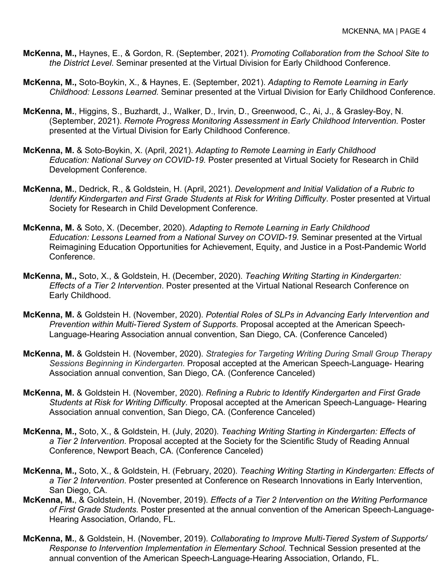- **McKenna, M.,** Haynes, E., & Gordon, R. (September, 2021). *Promoting Collaboration from the School Site to the District Level*. Seminar presented at the Virtual Division for Early Childhood Conference.
- **McKenna, M.,** Soto-Boykin, X., & Haynes, E. (September, 2021). *Adapting to Remote Learning in Early Childhood: Lessons Learned.* Seminar presented at the Virtual Division for Early Childhood Conference.
- **McKenna, M.**, Higgins, S., Buzhardt, J., Walker, D., Irvin, D., Greenwood, C., Ai, J., & Grasley-Boy, N. (September, 2021). *Remote Progress Monitoring Assessment in Early Childhood Intervention.* Poster presented at the Virtual Division for Early Childhood Conference.
- **McKenna, M.** & Soto-Boykin, X. (April, 2021). *Adapting to Remote Learning in Early Childhood Education: National Survey on COVID-19.* Poster presented at Virtual Society for Research in Child Development Conference.
- **McKenna, M.**, Dedrick, R., & Goldstein, H. (April, 2021). *Development and Initial Validation of a Rubric to Identify Kindergarten and First Grade Students at Risk for Writing Difficulty*. Poster presented at Virtual Society for Research in Child Development Conference.
- **McKenna, M.** & Soto, X. (December, 2020). *Adapting to Remote Learning in Early Childhood Education: Lessons Learned from a National Survey on COVID-19.* Seminar presented at the Virtual Reimagining Education Opportunities for Achievement, Equity, and Justice in a Post-Pandemic World Conference.
- **McKenna, M.,** Soto, X., & Goldstein, H. (December, 2020). *Teaching Writing Starting in Kindergarten: Effects of a Tier 2 Intervention*. Poster presented at the Virtual National Research Conference on Early Childhood.
- **McKenna, M.** & Goldstein H. (November, 2020). *Potential Roles of SLPs in Advancing Early Intervention and Prevention within Multi-Tiered System of Supports*. Proposal accepted at the American Speech-Language-Hearing Association annual convention, San Diego, CA. (Conference Canceled)
- **McKenna, M.** & Goldstein H. (November, 2020). *Strategies for Targeting Writing During Small Group Therapy Sessions Beginning in Kindergarten.* Proposal accepted at the American Speech-Language- Hearing Association annual convention, San Diego, CA. (Conference Canceled)
- **McKenna, M.** & Goldstein H. (November, 2020). *Refining a Rubric to Identify Kindergarten and First Grade Students at Risk for Writing Difficulty*. Proposal accepted at the American Speech-Language- Hearing Association annual convention, San Diego, CA. (Conference Canceled)
- **McKenna, M.,** Soto, X., & Goldstein, H. (July, 2020). *Teaching Writing Starting in Kindergarten: Effects of a Tier 2 Intervention*. Proposal accepted at the Society for the Scientific Study of Reading Annual Conference, Newport Beach, CA. (Conference Canceled)
- **McKenna, M.,** Soto, X., & Goldstein, H. (February, 2020). *Teaching Writing Starting in Kindergarten: Effects of a Tier 2 Intervention*. Poster presented at Conference on Research Innovations in Early Intervention, San Diego, CA.
- **McKenna, M.**, & Goldstein, H. (November, 2019). *Effects of a Tier 2 Intervention on the Writing Performance of First Grade Students.* Poster presented at the annual convention of the American Speech-Language-Hearing Association, Orlando, FL.
- **McKenna, M.**, & Goldstein, H. (November, 2019). *Collaborating to Improve Multi-Tiered System of Supports/ Response to Intervention Implementation in Elementary School.* Technical Session presented at the annual convention of the American Speech-Language-Hearing Association, Orlando, FL.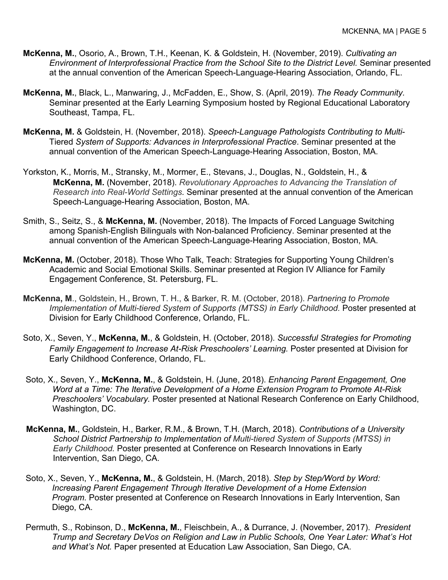- **McKenna, M.**, Osorio, A., Brown, T.H., Keenan, K. & Goldstein, H. (November, 2019). *Cultivating an Environment of Interprofessional Practice from the School Site to the District Level.* Seminar presented at the annual convention of the American Speech-Language-Hearing Association, Orlando, FL.
- **McKenna, M.**, Black, L., Manwaring, J., McFadden, E., Show, S. (April, 2019). *The Ready Community.* Seminar presented at the Early Learning Symposium hosted by Regional Educational Laboratory Southeast, Tampa, FL.
- **McKenna, M.** & Goldstein, H. (November, 2018). *Speech-Language Pathologists Contributing to Multi*-Tiered *System of Supports: Advances in Interprofessional Practice*. Seminar presented at the annual convention of the American Speech-Language-Hearing Association, Boston, MA.
- Yorkston, K., Morris, M., Stransky, M., Mormer, E., Stevans, J., Douglas, N., Goldstein, H., & **McKenna, M.** (November, 2018). *Revolutionary Approaches to Advancing the Translation of Research into Real-World Settings.* Seminar presented at the annual convention of the American Speech-Language-Hearing Association, Boston, MA.
- Smith, S., Seitz, S., & **McKenna, M.** (November, 2018). The Impacts of Forced Language Switching among Spanish-English Bilinguals with Non-balanced Proficiency. Seminar presented at the annual convention of the American Speech-Language-Hearing Association, Boston, MA.
- **McKenna, M.** (October, 2018). Those Who Talk, Teach: Strategies for Supporting Young Children's Academic and Social Emotional Skills. Seminar presented at Region IV Alliance for Family Engagement Conference, St. Petersburg, FL.
- **McKenna, M**., Goldstein, H., Brown, T. H., & Barker, R. M. (October, 2018). *Partnering to Promote Implementation of Multi-tiered System of Supports (MTSS) in Early Childhood.* Poster presented at Division for Early Childhood Conference, Orlando, FL.
- Soto, X., Seven, Y., **McKenna, M.**, & Goldstein, H. (October, 2018). *Successful Strategies for Promoting Family Engagement to Increase At-Risk Preschoolers' Learning.* Poster presented at Division for Early Childhood Conference, Orlando, FL.
- Soto, X., Seven, Y., **McKenna, M.**, & Goldstein, H. (June, 2018). *Enhancing Parent Engagement, One Word at a Time: The Iterative Development of a Home Extension Program to Promote At-Risk Preschoolers' Vocabulary.* Poster presented at National Research Conference on Early Childhood, Washington, DC.
- **McKenna, M.**, Goldstein, H., Barker, R.M., & Brown, T.H. (March, 2018). *Contributions of a University School District Partnership to Implementation of Multi-tiered System of Supports (MTSS) in Early Childhood.* Poster presented at Conference on Research Innovations in Early Intervention, San Diego, CA.
- Soto, X., Seven, Y., **McKenna, M.**, & Goldstein, H. (March, 2018). *Step by Step/Word by Word: Increasing Parent Engagement Through Iterative Development of a Home Extension Program.* Poster presented at Conference on Research Innovations in Early Intervention, San Diego, CA.
- Permuth, S., Robinson, D., **McKenna, M.**, Fleischbein, A., & Durrance, J. (November, 2017). *President Trump and Secretary DeVos on Religion and Law in Public Schools, One Year Later: What's Hot and What's Not.* Paper presented at Education Law Association, San Diego, CA.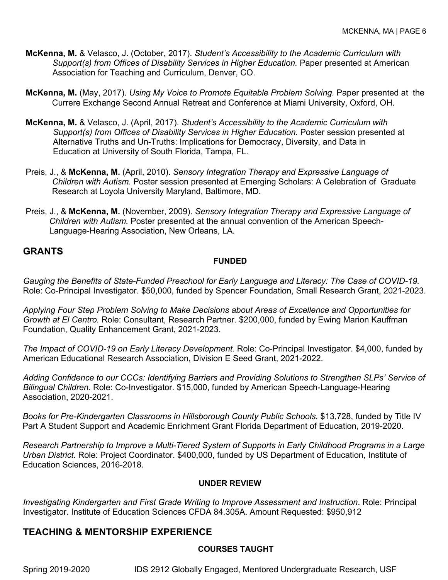- **McKenna, M.** & Velasco, J. (October, 2017). *Student's Accessibility to the Academic Curriculum with Support(s) from Offices of Disability Services in Higher Education.* Paper presented at American Association for Teaching and Curriculum, Denver, CO.
- **McKenna, M.** (May, 2017). *Using My Voice to Promote Equitable Problem Solving.* Paper presented at the Currere Exchange Second Annual Retreat and Conference at Miami University, Oxford, OH.
- **McKenna, M.** & Velasco, J. (April, 2017). *Student's Accessibility to the Academic Curriculum with Support(s) from Offices of Disability Services in Higher Education.* Poster session presented at Alternative Truths and Un-Truths: Implications for Democracy, Diversity, and Data in Education at University of South Florida, Tampa, FL.
- Preis, J., & **McKenna, M.** (April, 2010). *Sensory Integration Therapy and Expressive Language of Children with Autism.* Poster session presented at Emerging Scholars: A Celebration of Graduate Research at Loyola University Maryland, Baltimore, MD.
- Preis, J., & **McKenna, M.** (November, 2009). *Sensory Integration Therapy and Expressive Language of Children with Autism.* Poster presented at the annual convention of the American Speech-Language-Hearing Association, New Orleans, LA.

## **GRANTS**

#### **FUNDED**

*Gauging the Benefits of State-Funded Preschool for Early Language and Literacy: The Case of COVID-19.* Role: Co-Principal Investigator. \$50,000, funded by Spencer Foundation, Small Research Grant, 2021-2023.

*Applying Four Step Problem Solving to Make Decisions about Areas of Excellence and Opportunities for Growth at El Centro.* Role: Consultant, Research Partner. \$200,000, funded by Ewing Marion Kauffman Foundation, Quality Enhancement Grant, 2021-2023.

*The Impact of COVID-19 on Early Literacy Development.* Role: Co-Principal Investigator. \$4,000, funded by American Educational Research Association, Division E Seed Grant, 2021-2022.

*Adding Confidence to our CCCs: Identifying Barriers and Providing Solutions to Strengthen SLPs' Service of Bilingual Children*. Role: Co-Investigator. \$15,000, funded by American Speech-Language-Hearing Association, 2020-2021.

*Books for Pre-Kindergarten Classrooms in Hillsborough County Public Schools.* \$13,728, funded by Title IV Part A Student Support and Academic Enrichment Grant Florida Department of Education, 2019-2020.

*Research Partnership to Improve a Multi-Tiered System of Supports in Early Childhood Programs in a Large Urban District.* Role: Project Coordinator. \$400,000, funded by US Department of Education, Institute of Education Sciences, 2016-2018.

#### **UNDER REVIEW**

*Investigating Kindergarten and First Grade Writing to Improve Assessment and Instruction*. Role: Principal Investigator. Institute of Education Sciences CFDA 84.305A. Amount Requested: \$950,912

## **TEACHING & MENTORSHIP EXPERIENCE**

#### **COURSES TAUGHT**

Spring 2019-2020 IDS 2912 Globally Engaged, Mentored Undergraduate Research, USF